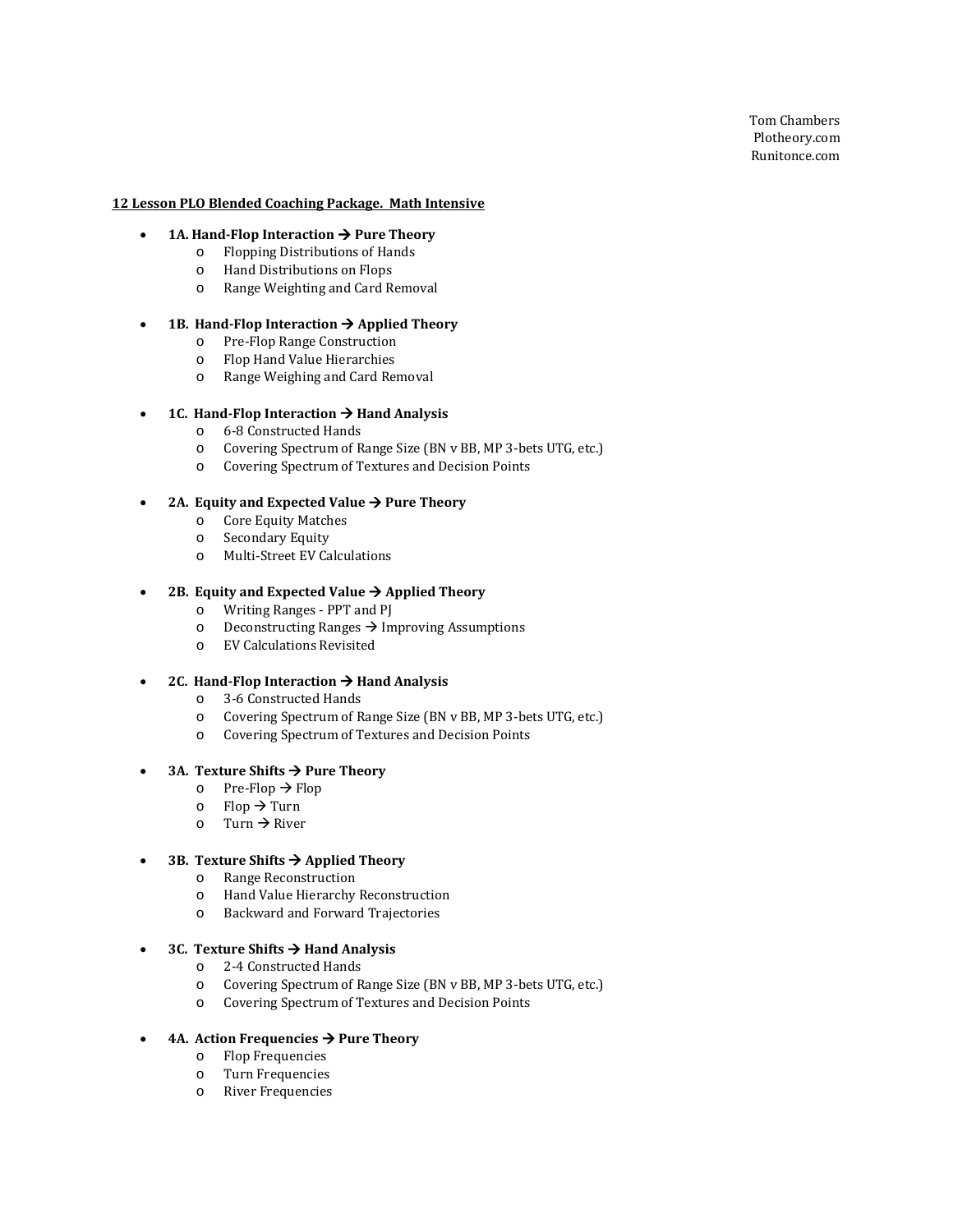Tom Chambers Plotheory.com Runitonce.com

### **12 Lesson PLO Blended Coaching Package. Math Intensive**

- **1A. Hand-Flop Interaction**  $\rightarrow$  **Pure Theory** 
	- o Flopping Distributions of Hands
	- o Hand Distributions on Flops
	- o Range Weighting and Card Removal

### • **1B. Hand-Flop Interaction Applied Theory**

- o Pre-Flop Range Construction
- o Flop Hand Value Hierarchies
- o Range Weighing and Card Removal

### • **1C. Hand-Flop Interaction**  $\rightarrow$  **Hand Analysis**

- o 6-8 Constructed Hands
- o Covering Spectrum of Range Size (BN v BB, MP 3-bets UTG, etc.)
- o Covering Spectrum of Textures and Decision Points

#### 2A. Equity and Expected Value  $\rightarrow$  Pure Theory

- o Core Equity Matches
- Secondary Equity
- o Multi-Street EV Calculations

#### 2B. Equity and Expected Value  $\rightarrow$  Applied Theory

- o Writing Ranges PPT and PJ
- $\circ$  Deconstructing Ranges  $\rightarrow$  Improving Assumptions
- o EV Calculations Revisited

### 2C. Hand-Flop Interaction  $\rightarrow$  Hand Analysis

- o 3-6 Constructed Hands
- Covering Spectrum of Range Size (BN v BB, MP 3-bets UTG, etc.)
- o Covering Spectrum of Textures and Decision Points

## • **3A. Texture Shifts Pure Theory**

- o Pre-Flop  $\rightarrow$  Flop
- $\circ$  Flop  $\rightarrow$  Turn
- $\circ$  Turn  $\rightarrow$  River

## • **3B. Texture Shifts Applied Theory**

- o Range Reconstruction
- Hand Value Hierarchy Reconstruction
- o Backward and Forward Trajectories

### • **3C. Texture Shifts Hand Analysis**

- o 2-4 Constructed Hands
- o Covering Spectrum of Range Size (BN v BB, MP 3-bets UTG, etc.)
- o Covering Spectrum of Textures and Decision Points
- **4A. Action Frequencies → Pure Theory** 
	- o Flop Frequencies
	- o Turn Frequencies
	- River Frequencies